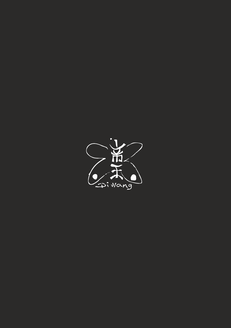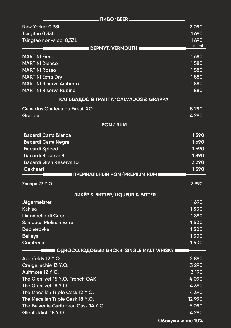| $\equiv$ ПИВО $/$ BEER $\equiv$                   |          |
|---------------------------------------------------|----------|
| New Yorker 0,33L                                  | 2090     |
| Tsingtao 0,33L                                    | 1690     |
| Tsingtao non-alco. 0,33L                          | 1690     |
| $\equiv$ BEPMYT/VERMOUTH $\equiv$                 | 100ml    |
| <b>MARTINI Fiero</b>                              | 1680     |
| <b>MARTINI Bianco</b>                             | 1580     |
| <b>MARTINI Rosso</b>                              | 1580     |
| <b>MARTINI Extra Dry</b>                          | 1580     |
| <b>MARTINI Riserva Ambrato</b>                    | 1880     |
| <b>MARTINI Riserva Rubino</b>                     | 1880     |
| ═════ КАЛЬВАДОС & ГРАППА/CALVADOS & GRAPPA ══     |          |
| Calvados Chateau du Breuil XO                     | 5 2 9 0  |
| Grappa                                            | 4 2 9 0  |
| $\equiv$ POM/ RUM $\equiv$ $\equiv$               |          |
|                                                   |          |
| <b>Bacardi Carta Blanca</b>                       | 1590     |
| <b>Bacardi Carta Negra</b>                        | 1690     |
| <b>Bacardi Spiced</b>                             | 1690     |
| <b>Bacardi Reserva 8</b>                          | 1890     |
| <b>Bacardi Gran Reserva 10</b>                    | 2 2 9 0  |
| <b>Oakheart</b>                                   | 1590     |
| ≡ ПРЕМИАЛЬНЫЙ РОМ ⁄ PREMIUM RUM≡                  |          |
| Zacapa 23 Y.O.                                    | 3990     |
| $\equiv$ ЛИКЁР & БИТТЕР/LIQUEUR & BITTER $\equiv$ |          |
| <b>Jägermeister</b>                               | 1690     |
| <b>Kahlua</b>                                     | 1500     |
| Limoncello di Capri                               | 1890     |
| <b>Sambuca Molinari Extra</b>                     | 1500     |
| <b>Becherovka</b>                                 | 1500     |
| <b>Baileys</b>                                    | 1500     |
| Cointreau                                         | 1500     |
| ════ ОДНОСОЛОДОВЫЙ ВИСКИ/SINGLE MALT WHISKY ══    |          |
| Aberfeldy 12 Y.O.                                 | 2890     |
| Craigellachie 13 Y.O.                             | 3 2 9 0  |
| Aultmore 12 Y.O.                                  | 3 1 9 0  |
| The Glenlivet 15 Y.O. French OAK                  | 4090     |
| The Glenlivet 18 Y.O.                             | 4390     |
| The Macallan Triple Cask 12 Y.O.                  | 4390     |
| The Macallan Triple Cask 18 Y.O.                  | 12 9 9 0 |
| The Balvenie Caribbean Cask 14 Y.O.               | 5090     |
| Glenfiddich 18 Y.O.                               | 4 2 9 0  |
| Обслуживание 10%                                  |          |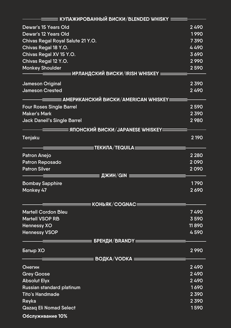| ≡ КУПАЖИРОВАННЫЙ ВИСКИ ∕ BLENDED WHISKY <b>≡</b>           |              |  |  |
|------------------------------------------------------------|--------------|--|--|
| <b>Dewar's 15 Years Old</b>                                | 2490         |  |  |
| <b>Dewar's 12 Years Old</b>                                | 1990         |  |  |
| Chivas Regal Royal Salute 21 Y.O.                          | 7390         |  |  |
| Chivas Regal 18 Y.O.                                       | 4490         |  |  |
| Chivas Regal XV 15 Y.O.                                    | 3690         |  |  |
| Chivas Regal 12 Y.O.                                       | 2 9 9 0      |  |  |
| <b>Monkey Shoulder</b>                                     | 2590         |  |  |
| <b>ЕИРЛАНДСКИЙ ВИСКИ/IRISH WHISKEY <math>\equiv</math></b> |              |  |  |
| <b>Jameson Original</b>                                    | 2390         |  |  |
| <b>Jameson Crested</b>                                     | 2490         |  |  |
| ══ АМЕРИКАНСКИЙ ВИСКИ ⁄ AMERICAN WHISKEY≡                  |              |  |  |
| <b>Four Roses Single Barrel</b>                            | 2590         |  |  |
| <b>Maker's Mark</b>                                        | 2390         |  |  |
| <b>Jack Daneil's Single Barrel</b>                         | 2980         |  |  |
| ≡ ЯПОНСКИЙ ВИСКИ ⁄ JAPANESE WHISKEY≡                       |              |  |  |
| <b>Tenjaku</b>                                             | 2 1 9 0      |  |  |
|                                                            |              |  |  |
| $\,$ = ТЕКИЛА $/$ ТЕQUILA $\equiv$                         |              |  |  |
| <b>Patron Anejo</b>                                        | 2 2 8 0      |  |  |
| <b>Patron Reposado</b>                                     | 2090         |  |  |
| <b>Patron Silver</b>                                       | 2090         |  |  |
| $\mu$ ЖИН/GIN $\equiv$                                     |              |  |  |
| <b>Bombay Sapphire</b>                                     | 1790         |  |  |
| Monkey 47                                                  | 2690         |  |  |
|                                                            |              |  |  |
| $\equiv$ <code>KOHbЯK/COGNAC</code> $\equiv$               |              |  |  |
| <b>Martell Cordon Bleu</b><br><b>Martell VSOP RB</b>       | 7490<br>3590 |  |  |
| <b>Hennessy XO</b>                                         | 11890        |  |  |
| <b>Hennessy VSOP</b>                                       | 4590         |  |  |
|                                                            |              |  |  |
| $\equiv$ БРЕНДИ/ВRANDY $\equiv$                            |              |  |  |
| Батыр ХО                                                   | 2990         |  |  |
|                                                            |              |  |  |
| Онегин                                                     | 2490         |  |  |
| <b>Grey Goose</b>                                          | 2490         |  |  |
| <b>Absolut Elyx</b>                                        | 2490         |  |  |
| Russian standard platinum                                  | 1690         |  |  |
| <b>Tito's Handmade</b>                                     | 2390         |  |  |
| Reyka                                                      | 2390         |  |  |
| <b>Qazaq Eli Nomad Select</b>                              | 1590         |  |  |
| Обслуживание 10%                                           |              |  |  |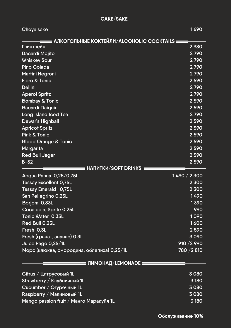|                                            | CAKE/SAKE                                         |             |
|--------------------------------------------|---------------------------------------------------|-------------|
| Choya sake                                 |                                                   | 1690        |
|                                            |                                                   |             |
|                                            | <b>АЛКОГОЛЬНЫЕ КОКТЕЙЛИ/ALCOHOLIC COCKTAILS =</b> |             |
| Глинтвейн                                  |                                                   | 2980        |
| <b>Bacardi Mojito</b>                      |                                                   | 2790        |
| <b>Whiskey Sour</b>                        |                                                   | 2790        |
| <b>Pino Colada</b>                         |                                                   | 2790        |
| <b>Martini Negroni</b>                     |                                                   | 2790        |
| <b>Fiero &amp; Tonic</b>                   |                                                   | 2590        |
| <b>Bellini</b>                             |                                                   | 2790        |
| <b>Aperol Spritz</b>                       |                                                   | 2790        |
| <b>Bombay &amp; Tonic</b>                  |                                                   | 2590        |
| <b>Bacardi Daiquiri</b>                    |                                                   | 2590        |
| <b>Long Island Iced Tea</b>                |                                                   | 2790        |
| <b>Dewar's Highball</b>                    |                                                   | 2590        |
| <b>Apricot Spritz</b>                      |                                                   | 2590        |
| <b>Pink &amp; Tonic</b>                    |                                                   | 2590        |
| <b>Blood Orange &amp; Tonic</b>            |                                                   | 2590        |
| <b>Margarita</b>                           |                                                   | 2590        |
| <b>Red Bull Jager</b>                      |                                                   | 2590        |
| $5 - 52$                                   |                                                   | 2590        |
|                                            | НАПИТКИ/SOFT DRINKS ≡                             |             |
| Acqua Panna 0,25/0,75L                     |                                                   | 1490 / 2300 |
| <b>Tassay Excellent 0,75L</b>              |                                                   | 2 3 0 0     |
| <b>Tassay Emerald 0,75L</b>                |                                                   | 2 3 0 0     |
| San Pellegrino 0,25L                       |                                                   | 1490        |
| Borjomi 0,33L                              |                                                   | 1390        |
| Coca cola, Sprite 0,25L                    |                                                   | 990         |
| Tonic Water 0,33L                          |                                                   | 1090        |
| Red Bull 0,25L                             |                                                   | 1600        |
| Fresh 0,3L                                 |                                                   | 2590        |
| Fresh (гранат, ананас) 0,3L                |                                                   | 3090        |
| Juice Pago 0,25/1L                         |                                                   | 910 / 2 990 |
| Морс (клюква, смородина, облепиха) 0,25/1L |                                                   | 780 / 2810  |
|                                            | ════ ЛИМОНАД ⁄ LEMONADE ══                        |             |
| Citrus / Цитрусовый 1L                     |                                                   | 3080        |
| Strawberry / Клубничный 1L                 |                                                   | 3 180       |
| Cucumber / Огуречный 1L                    |                                                   | 3080        |
| $R$ aspberry / Малиновый 1L                |                                                   | 3080        |
| Mango passion fruit / Манго Маракуйя 1L    |                                                   | 3 180       |
|                                            |                                                   |             |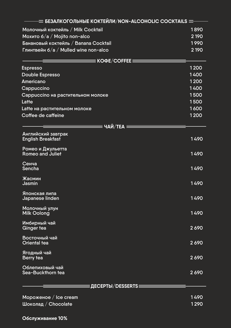| $\equiv$ БЕЗАЛКОГОЛЬНЫЕ КОКТЕЙЛИ $\overline{/}$ NON-ALCOHOLIC COCKTAILS $\equiv$ |                    |
|----------------------------------------------------------------------------------|--------------------|
| Молочный коктейль / Milk Cocktail                                                | 1890               |
| Мохито 6/а / Mojito non-alco                                                     | 2 1 9 0            |
| Банановый коктейль / Banana Cocktail                                             | 1990               |
| Глинтвейн 6/а / Mulled wine non-alco                                             | 2 1 9 0            |
| $\equiv$ KOΦE/COFFEE $\equiv$                                                    |                    |
| <b>Espresso</b>                                                                  | 1200               |
| Double Espresso                                                                  | 1400               |
| <b>Americano</b>                                                                 | $\overline{1}$ 200 |
| Cappuccino                                                                       | 1400               |
| <b>Сарриссіпо на растительном молоке</b>                                         | 1500               |
| Latte                                                                            | 1500               |
| Latte на растительном молоке                                                     | 1600               |
| Coffee de caffeine                                                               | 1200               |
| $\equiv$ ЧАЙ/ТЕА $\equiv$                                                        |                    |
| Английский завтрак<br><b>English Breakfast</b>                                   | 1490               |
| Ромео и Джульетта<br>Romeo and Juliet                                            | 1490               |
| Сенча<br><b>Sencha</b>                                                           | 1490               |
| Жасмин<br><b>Jasmin</b>                                                          | 1490               |
| Японская липа<br>Japanese linden                                                 | 1490               |
| Молочный улун<br><b>Milk Oolong</b>                                              | 1490               |
| Имбирный чай<br><b>Ginger tea</b>                                                | 2690               |
| Восточный чай<br><b>Oriental tea</b>                                             | 2690               |
| Ягодный чай<br><b>Berry tea</b>                                                  | 2690               |
| Облепиховый чай<br>Sea-Buckthorn tea                                             | 2690               |
| Е <b>ДЕСЕРТЫ/DESSERTS</b> ===                                                    |                    |
|                                                                                  |                    |
| Мороженое $/$ Ice cream                                                          | 1490               |
| Шоколад / Chocolate                                                              | 1290               |

**Обслуживание 10%**